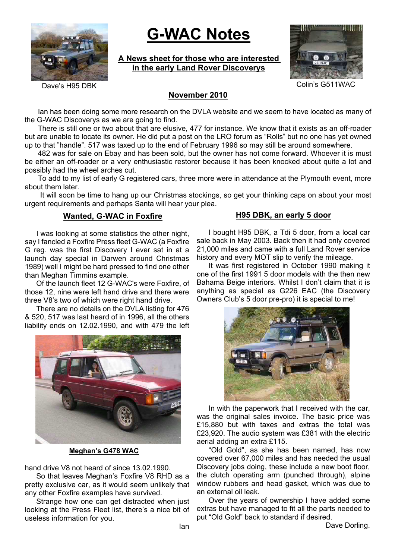

# **G-WAC Notes**

# **A News sheet for those who are interested in the early Land Rover Discoverys**



### Dave's H95 DBK Colin's G511WAC

# **November 2010**

Ian has been doing some more research on the DVLA website and we seem to have located as many of the G-WAC Discoverys as we are going to find.

There is still one or two about that are elusive, 477 for instance. We know that it exists as an off-roader but are unable to locate its owner. He did put a post on the LRO forum as "Rolls" but no one has yet owned up to that "handle". 517 was taxed up to the end of February 1996 so may still be around somewhere.

482 was for sale on Ebay and has been sold, but the owner has not come forward. Whoever it is must be either an off-roader or a very enthusiastic restorer because it has been knocked about quite a lot and possibly had the wheel arches cut.

To add to my list of early G registered cars, three more were in attendance at the Plymouth event, more about them later.

 It will soon be time to hang up our Christmas stockings, so get your thinking caps on about your most urgent requirements and perhaps Santa will hear your plea.

### **Wanted, G-WAC in Foxfire**

I was looking at some statistics the other night, say I fancied a Foxfire Press fleet G-WAC (a Foxfire G reg. was the first Discovery I ever sat in at a launch day special in Darwen around Christmas 1989) well I might be hard pressed to find one other than Meghan Timmins example.

Of the launch fleet 12 G-WAC's were Foxfire, of those 12, nine were left hand drive and there were three V8's two of which were right hand drive.

There are no details on the DVLA listing for 476 & 520, 517 was last heard of in 1996, all the others liability ends on 12.02.1990, and with 479 the left



**Meghan's G478 WAC**

hand drive V8 not heard of since 13.02.1990.

So that leaves Meghan's Foxfire V8 RHD as a pretty exclusive car, as it would seem unlikely that any other Foxfire examples have survived.

Strange how one can get distracted when just looking at the Press Fleet list, there's a nice bit of useless information for you.

#### **H95 DBK, an early 5 door**

I bought H95 DBK, a Tdi 5 door, from a local car sale back in May 2003. Back then it had only covered 21,000 miles and came with a full Land Rover service history and every MOT slip to verify the mileage.

It was first registered in October 1990 making it one of the first 1991 5 door models with the then new Bahama Beige interiors. Whilst I don't claim that it is anything as special as G226 EAC (the Discovery Owners Club's 5 door pre-pro) it is special to me!



In with the paperwork that I received with the car, was the original sales invoice. The basic price was £15,880 but with taxes and extras the total was £23,920. The audio system was £381 with the electric aerial adding an extra £115.

"Old Gold", as she has been named, has now covered over 67,000 miles and has needed the usual Discovery jobs doing, these include a new boot floor, the clutch operating arm (punched through), alpine window rubbers and head gasket, which was due to an external oil leak.

Over the years of ownership I have added some extras but have managed to fit all the parts needed to put "Old Gold" back to standard if desired.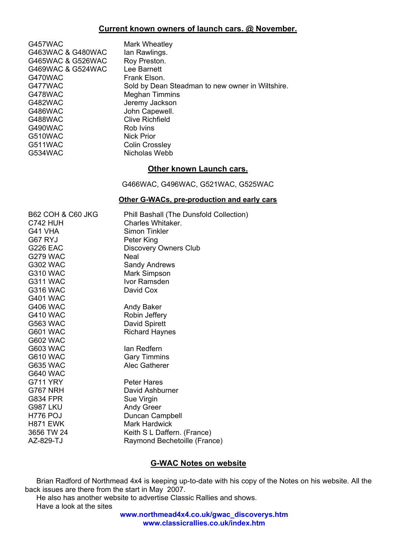# **Current known owners of launch cars. @ November.**

| G457WAC<br>G463WAC & G480WAC<br>G465WAC & G526WAC<br>G469WAC & G524WAC<br>G470WAC<br>G477WAC<br>G478WAC<br>G482WAC<br><b>G486WAC</b><br><b>G488WAC</b><br>G490WAC<br>G510WAC<br>G511WAC<br>G534WAC         | Mark Wheatley<br>lan Rawlings.<br>Roy Preston.<br>Lee Barnett<br>Frank Elson.<br>Sold by Dean Steadman to new owner in Wiltshire.<br><b>Meghan Timmins</b><br>Jeremy Jackson<br>John Capewell.<br><b>Clive Richfield</b><br>Rob Ivins<br><b>Nick Prior</b><br><b>Colin Crossley</b><br>Nicholas Webb |
|------------------------------------------------------------------------------------------------------------------------------------------------------------------------------------------------------------|------------------------------------------------------------------------------------------------------------------------------------------------------------------------------------------------------------------------------------------------------------------------------------------------------|
|                                                                                                                                                                                                            | <b>Other known Launch cars.</b>                                                                                                                                                                                                                                                                      |
|                                                                                                                                                                                                            | G466WAC, G496WAC, G521WAC, G525WAC                                                                                                                                                                                                                                                                   |
|                                                                                                                                                                                                            | <b>Other G-WACs, pre-production and early cars</b>                                                                                                                                                                                                                                                   |
| <b>B62 COH &amp; C60 JKG</b><br><b>C742 HUH</b><br>G41 VHA<br>G67 RYJ<br><b>G226 EAC</b><br><b>G279 WAC</b><br><b>G302 WAC</b><br><b>G310 WAC</b><br><b>G311 WAC</b><br><b>G316 WAC</b><br><b>G401 WAC</b> | Phill Bashall (The Dunsfold Collection)<br>Charles Whitaker.<br><b>Simon Tinkler</b><br>Peter King<br><b>Discovery Owners Club</b><br><b>Neal</b><br><b>Sandy Andrews</b><br><b>Mark Simpson</b><br>Ivor Ramsden<br>David Cox                                                                        |
| <b>G406 WAC</b><br><b>G410 WAC</b><br><b>G563 WAC</b><br><b>G601 WAC</b><br><b>G602 WAC</b>                                                                                                                | Andy Baker<br>Robin Jeffery<br>David Spirett<br><b>Richard Haynes</b>                                                                                                                                                                                                                                |
| <b>G603 WAC</b><br><b>G610 WAC</b><br><b>G635 WAC</b><br><b>G640 WAC</b>                                                                                                                                   | lan Redfern<br><b>Gary Timmins</b><br>Alec Gatherer                                                                                                                                                                                                                                                  |
| <b>G711 YRY</b><br><b>G767 NRH</b><br><b>G834 FPR</b><br><b>G987 LKU</b><br><b>H776 POJ</b><br><b>H871 EWK</b><br>3656 TW 24<br>AZ-829-TJ                                                                  | <b>Peter Hares</b><br>David Ashburner<br>Sue Virgin<br><b>Andy Greer</b><br>Duncan Campbell<br><b>Mark Hardwick</b><br>Keith S L Daffern. (France)<br>Raymond Bechetoille (France)                                                                                                                   |

# **G-WAC Notes on website**

Brian Radford of Northmead 4x4 is keeping up-to-date with his copy of the Notes on his website. All the back issues are there from the start in May 2007.

He also has another website to advertise Classic Rallies and shows. Have a look at the sites

> **www.northmead4x4.co.uk/gwac\_discoverys.htm www.classicrallies.co.uk/index.htm**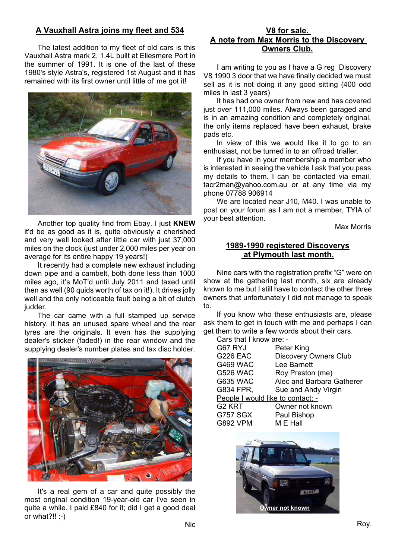# **A Vauxhall Astra joins my fleet and 534**

The latest addition to my fleet of old cars is this Vauxhall Astra mark 2, 1.4L built at Ellesmere Port in the summer of 1991. It is one of the last of these 1980's style Astra's, registered 1st August and it has remained with its first owner until little ol' me got it!



Another top quality find from Ebay. I just **KNEW** it'd be as good as it is, quite obviously a cherished and very well looked after little car with just 37,000 miles on the clock (just under 2,000 miles per year on average for its entire happy 19 years!)

It recently had a complete new exhaust including down pipe and a cambelt, both done less than 1000 miles ago, it's MoT'd until July 2011 and taxed until then as well (90 quids worth of tax on it!). It drives jolly well and the only noticeable fault being a bit of clutch judder.

The car came with a full stamped up service history, it has an unused spare wheel and the rear tyres are the originals. It even has the supplying dealer's sticker (faded!) in the rear window and the supplying dealer's number plates and tax disc holder.



It's a real gem of a car and quite possibly the most original condition 19-year-old car I've seen in quite a while. I paid £840 for it; did I get a good deal or what?!! :-)

### **V8 for sale. A note from Max Morris to the Discovery Owners Club.**

I am writing to you as I have a G reg Discovery V8 1990 3 door that we have finally decided we must sell as it is not doing it any good sitting (400 odd miles in last 3 years)

It has had one owner from new and has covered just over 111,000 miles. Always been garaged and is in an amazing condition and completely original, the only items replaced have been exhaust, brake pads etc.

In view of this we would like it to go to an enthusiast, not be turned in to an offroad trialler.

If you have in your membership a member who is interested in seeing the vehicle I ask that you pass my details to them. I can be contacted via email, tacr2man@yahoo.com.au or at any time via my phone 07788 906914

We are located near J10, M40. I was unable to post on your forum as I am not a member, TYIA of your best attention.

Max Morris

# **1989-1990 registered Discoverys at Plymouth last month.**

Nine cars with the registration prefix "G" were on show at the gathering last month, six are already known to me but I still have to contact the other three owners that unfortunately I did not manage to speak to.

If you know who these enthusiasts are, please ask them to get in touch with me and perhaps I can get them to write a few words about their cars.

Cars that I know are: -

| G67 RYJ                           | Peter King                   |
|-----------------------------------|------------------------------|
| <b>G226 EAC</b>                   | <b>Discovery Owners Club</b> |
| <b>G469 WAC</b>                   | Lee Barnett                  |
| <b>G526 WAC</b>                   | Roy Preston (me)             |
| <b>G635 WAC</b>                   | Alec and Barbara Gatherer    |
| G834 FPR,                         | Sue and Andy Virgin          |
| People I would like to contact: - |                              |
| G <sub>2</sub> KRT                | Owner not known              |
| <b>G757 SGX</b>                   | Paul Bishop                  |
| <b>G892 VPM</b>                   | M E Hall                     |
|                                   |                              |